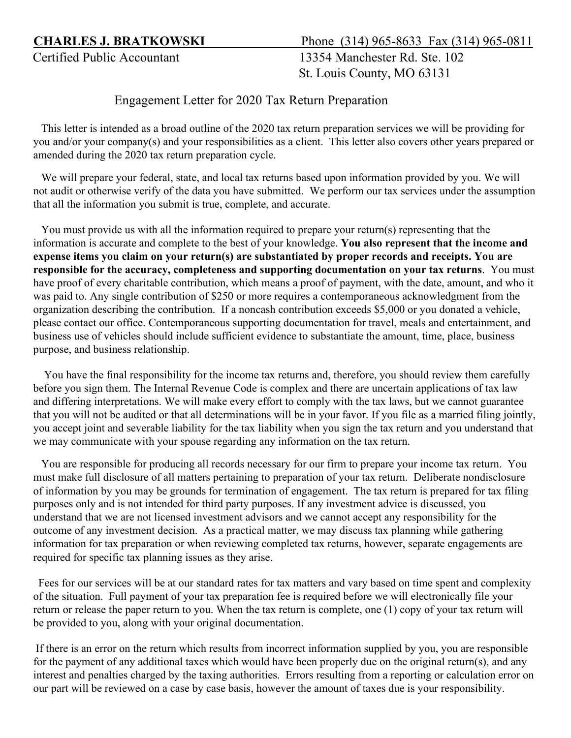**CHARLES J. BRATKOWSKI** Phone(314) 965-8633 Fax (314) 965-0811

Certified Public Accountant 13354 Manchester Rd. Ste. 102 St. Louis County, MO 63131

## Engagement Letter for 2020 Tax Return Preparation

 This letter is intended as a broad outline of the 2020 tax return preparation services we will be providing for you and/or your company(s) and your responsibilities as a client. This letter also covers other years prepared or amended during the 2020 tax return preparation cycle.

 We will prepare your federal, state, and local tax returns based upon information provided by you. We will not audit or otherwise verify of the data you have submitted. We perform our tax services under the assumption that all the information you submit is true, complete, and accurate.

 You must provide us with all the information required to prepare your return(s) representing that the information is accurate and complete to the best of your knowledge. **You also represent that the income and expense items you claim on your return(s) are substantiated by proper records and receipts. You are responsible for the accuracy, completeness and supporting documentation on your tax returns**. You must have proof of every charitable contribution, which means a proof of payment, with the date, amount, and who it was paid to. Any single contribution of \$250 or more requires a contemporaneous acknowledgment from the organization describing the contribution. If a noncash contribution exceeds \$5,000 or you donated a vehicle, please contact our office. Contemporaneous supporting documentation for travel, meals and entertainment, and business use of vehicles should include sufficient evidence to substantiate the amount, time, place, business purpose, and business relationship.

 You have the final responsibility for the income tax returns and, therefore, you should review them carefully before you sign them. The Internal Revenue Code is complex and there are uncertain applications of tax law and differing interpretations. We will make every effort to comply with the tax laws, but we cannot guarantee that you will not be audited or that all determinations will be in your favor. If you file as a married filing jointly, you accept joint and severable liability for the tax liability when you sign the tax return and you understand that we may communicate with your spouse regarding any information on the tax return.

 You are responsible for producing all records necessary for our firm to prepare your income tax return. You must make full disclosure of all matters pertaining to preparation of your tax return. Deliberate nondisclosure of information by you may be grounds for termination of engagement. The tax return is prepared for tax filing purposes only and is not intended for third party purposes. If any investment advice is discussed, you understand that we are not licensed investment advisors and we cannot accept any responsibility for the outcome of any investment decision. As a practical matter, we may discuss tax planning while gathering information for tax preparation or when reviewing completed tax returns, however, separate engagements are required for specific tax planning issues as they arise.

 Fees for our services will be at our standard rates for tax matters and vary based on time spent and complexity of the situation. Full payment of your tax preparation fee is required before we will electronically file your return or release the paper return to you. When the tax return is complete, one (1) copy of your tax return will be provided to you, along with your original documentation.

If there is an error on the return which results from incorrect information supplied by you, you are responsible for the payment of any additional taxes which would have been properly due on the original return(s), and any interest and penalties charged by the taxing authorities. Errors resulting from a reporting or calculation error on our part will be reviewed on a case by case basis, however the amount of taxes due is your responsibility.